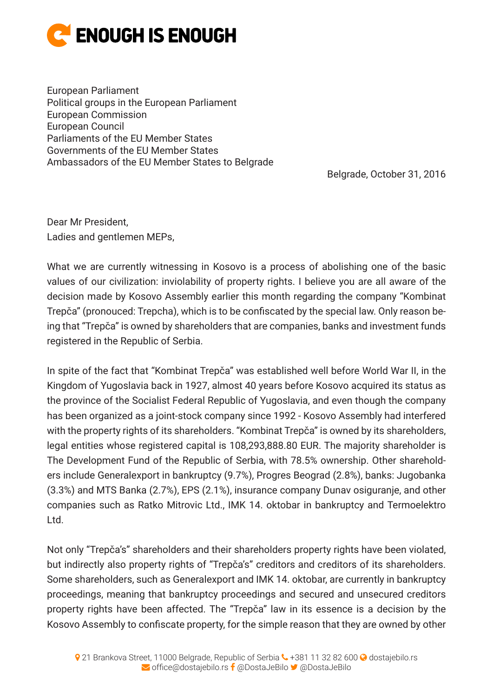

European Parliament Political groups in the European Parliament European Commission European Council Parliaments of the EU Member States Governments of the EU Member States Ambassadors of the EU Member States to Belgrade

Belgrade, October 31, 2016

Dear Mr President, Ladies and gentlemen MEPs,

What we are currently witnessing in Kosovo is a process of abolishing one of the basic values of our civilization: inviolability of property rights. I believe you are all aware of the decision made by Kosovo Assembly earlier this month regarding the company "Kombinat Trepča" (pronouced: Trepcha), which is to be confiscated by the special law. Only reason being that "Trepča" is owned by shareholders that are companies, banks and investment funds registered in the Republic of Serbia.

In spite of the fact that "Kombinat Trepča" was established well before World War II, in the Kingdom of Yugoslavia back in 1927, almost 40 years before Kosovo acquired its status as the province of the Socialist Federal Republic of Yugoslavia, and even though the company has been organized as a joint-stock company since 1992 - Kosovo Assembly had interfered with the property rights of its shareholders. "Kombinat Trepča" is owned by its shareholders, legal entities whose registered capital is 108,293,888.80 EUR. The majority shareholder is The Development Fund of the Republic of Serbia, with 78.5% ownership. Other shareholders include Generalexport in bankruptcy (9.7%), Progres Beograd (2.8%), banks: Jugobanka (3.3%) and MTS Banka (2.7%), EPS (2.1%), insurance company Dunav osiguranje, and other companies such as Ratko Mitrovic Ltd., IMK 14. oktobar in bankruptcy and Termoelektro Ltd.

Not only "Trepča's" shareholders and their shareholders property rights have been violated, but indirectly also property rights of "Trepča's" creditors and creditors of its shareholders. Some shareholders, such as Generalexport and IMK 14. oktobar, are currently in bankruptcy proceedings, meaning that bankruptcy proceedings and secured and unsecured creditors property rights have been affected. The "Trepča" law in its essence is a decision by the Kosovo Assembly to confiscate property, for the simple reason that they are owned by other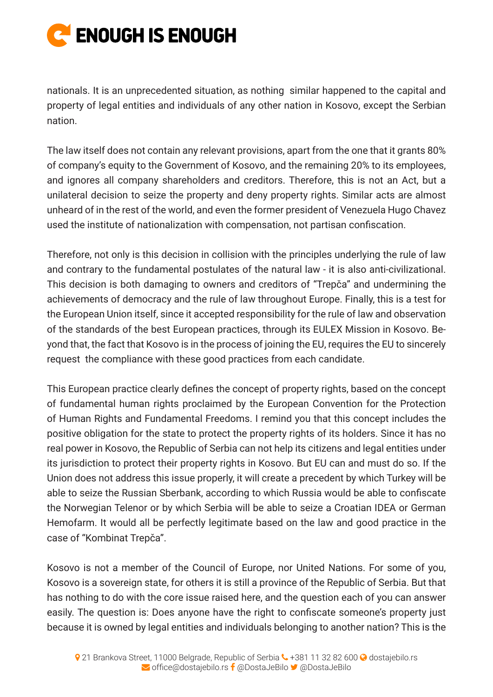

nationals. It is an unprecedented situation, as nothing similar happened to the capital and property of legal entities and individuals of any other nation in Kosovo, except the Serbian nation.

The law itself does not contain any relevant provisions, apart from the one that it grants 80% of company's equity to the Government of Kosovo, and the remaining 20% to its employees, and ignores all company shareholders and creditors. Therefore, this is not an Act, but a unilateral decision to seize the property and deny property rights. Similar acts are almost unheard of in the rest of the world, and even the former president of Venezuela Hugo Chavez used the institute of nationalization with compensation, not partisan confiscation.

Therefore, not only is this decision in collision with the principles underlying the rule of law and contrary to the fundamental postulates of the natural law - it is also anti-civilizational. This decision is both damaging to owners and creditors of "Trepča" and undermining the achievements of democracy and the rule of law throughout Europe. Finally, this is a test for the European Union itself, since it accepted responsibility for the rule of law and observation of the standards of the best European practices, through its EULEX Mission in Kosovo. Beyond that, the fact that Kosovo is in the process of joining the EU, requires the EU to sincerely request the compliance with these good practices from each candidate.

This European practice clearly defines the concept of property rights, based on the concept of fundamental human rights proclaimed by the European Convention for the Protection of Human Rights and Fundamental Freedoms. I remind you that this concept includes the positive obligation for the state to protect the property rights of its holders. Since it has no real power in Kosovo, the Republic of Serbia can not help its citizens and legal entities under its jurisdiction to protect their property rights in Kosovo. But EU can and must do so. If the Union does not address this issue properly, it will create a precedent by which Turkey will be able to seize the Russian Sberbank, according to which Russia would be able to confiscate the Norwegian Telenor or by which Serbia will be able to seize a Croatian IDEA or German Hemofarm. It would all be perfectly legitimate based on the law and good practice in the case of "Kombinat Trepča".

Kosovo is not a member of the Council of Europe, nor United Nations. For some of you, Kosovo is a sovereign state, for others it is still a province of the Republic of Serbia. But that has nothing to do with the core issue raised here, and the question each of you can answer easily. The question is: Does anyone have the right to confiscate someone's property just because it is owned by legal entities and individuals belonging to another nation? This is the